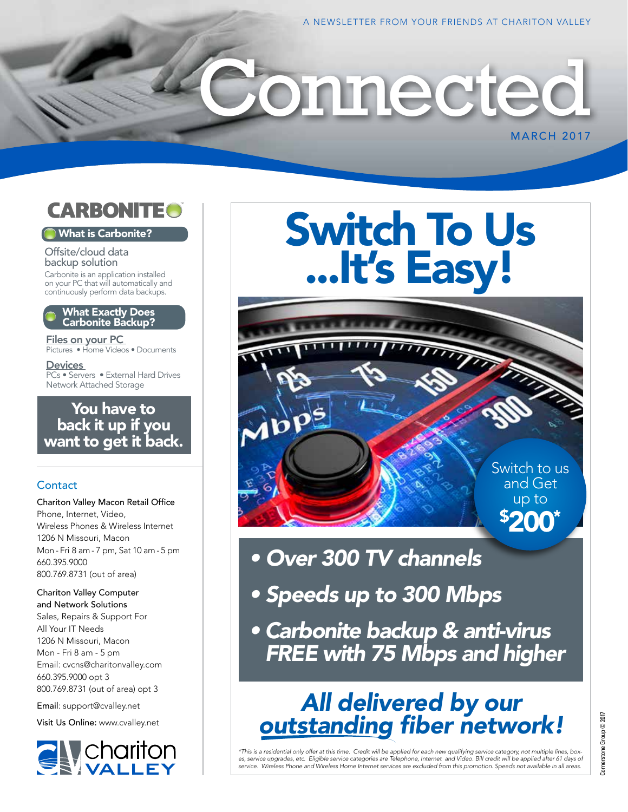

## What is Carbonite?

Offsite/cloud data backup solution Carbonite is an application installed on your PC that will automatically and continuously perform data backups.

#### What Exactly Does Carbonite Backup?

Files on your PC Pictures • Home Videos • Documents

**Devices** PCs • Servers • External Hard Drives Network Attached Storage

# You have to back it up if you want to get it back.

## **Contact**

Chariton Valley Macon Retail Office Phone, Internet, Video, Wireless Phones & Wireless Internet 1206 N Missouri, Macon Mon - Fri 8 am - 7 pm, Sat 10 am - 5 pm 660.395.9000 800.769.8731 (out of area)

Chariton Valley Computer and Network Solutions Sales, Repairs & Support For All Your IT Needs 1206 N Missouri, Macon Mon - Fri 8 am - 5 pm Email: cvcns@charitonvalley.com 660.395.9000 opt 3 800.769.8731 (out of area) opt 3

Email: support@cvalley.net

Visit Us Online: www.cvalley.net



# Switch To Us ...It's Easy!

onnected

Switch to us and Get up to \$ 200\*

**MARCH 2017** 

- *Over 300 TV channels*
- *Speeds up to 300 Mbps*
- *Carbonite backup & anti-virus FREE with 75 Mbps and higher*

# *All delivered by our outstanding fiber network!*

\*This is a residential only offer at this time. Credit will be applied for each new qualifying service category, not multiple lines, box-<br>es, service upgrades, etc. Eligible service categories are Telephone, Internet and V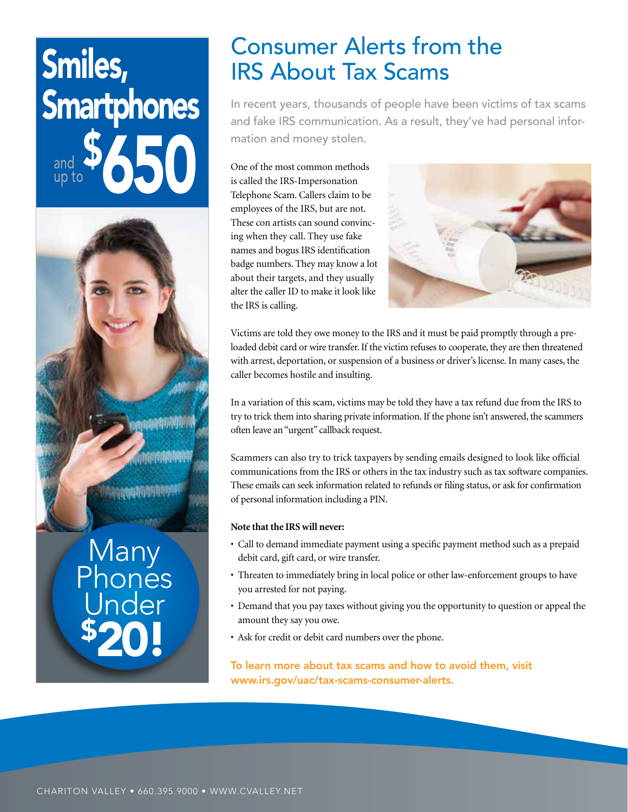# Smiles, **Smartphones** \$ and  $\frac{1}{2}$  650 up to



# Many Phones Inder \$ 20!

# Consumer Alerts from the IRS About Tax Scams

In recent years, thousands of people have been victims of tax scams and fake IRS communication. As a result, they've had personal information and money stolen.

One of the most common methods is called the IRS-Impersonation Telephone Scam. Callers claim to be employees of the IRS, but are not. These con artists can sound convincing when they call. They use fake names and bogus IRS identification badge numbers. They may know a lot about their targets, and they usually alter the caller ID to make it look like the IRS is calling.



Victims are told they owe money to the IRS and it must be paid promptly through a preloaded debit card or wire transfer. If the victim refuses to cooperate, they are then threatened with arrest, deportation, or suspension of a business or driver's license. In many cases, the caller becomes hostile and insulting.

In a variation of this scam, victims may be told they have a tax refund due from the IRS to try to trick them into sharing private information. If the phone isn't answered, the scammers often leave an "urgent" callback request.

Scammers can also try to trick taxpayers by sending emails designed to look like official communications from the IRS or others in the tax industry such as tax software companies. These emails can seek information related to refunds or filing status, or ask for confirmation of personal information including a PIN.

### **Note that the IRS will never:**

- Call to demand immediate payment using a specific payment method such as a prepaid debit card, gift card, or wire transfer.
- Threaten to immediately bring in local police or other law-enforcement groups to have you arrested for not paying.
- Demand that you pay taxes without giving you the opportunity to question or appeal the amount they say you owe.
- Ask for credit or debit card numbers over the phone.

To learn more about tax scams and how to avoid them, visit www.irs.gov/uac/tax-scams-consumer-alerts.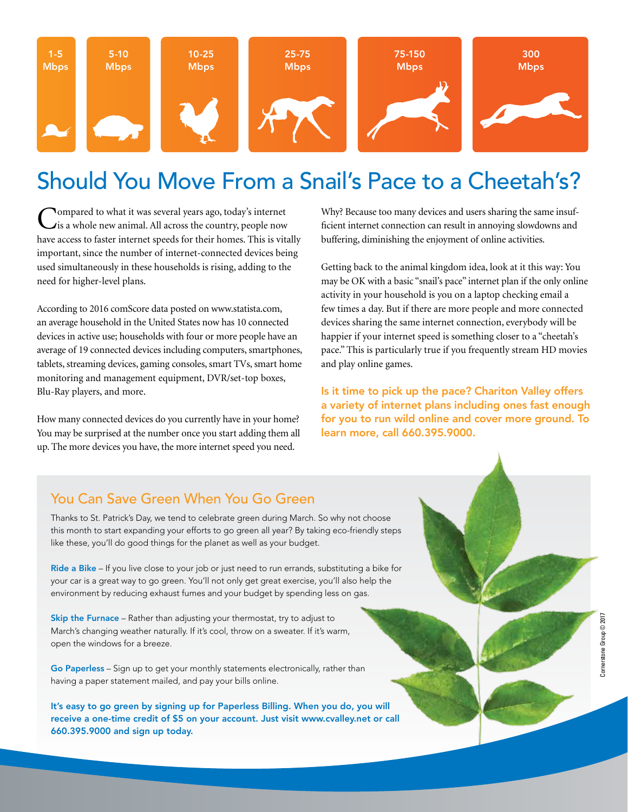

# Should You Move From a Snail's Pace to a Cheetah's?

Compared to what it was several years ago, today's internet is a whole new animal. All across the country, people now have access to faster internet speeds for their homes. This is vitally important, since the number of internet-connected devices being used simultaneously in these households is rising, adding to the need for higher-level plans.

According to 2016 comScore data posted on www.statista.com, an average household in the United States now has 10 connected devices in active use; households with four or more people have an average of 19 connected devices including computers, smartphones, tablets, streaming devices, gaming consoles, smart TVs, smart home monitoring and management equipment, DVR/set-top boxes, Blu-Ray players, and more.

How many connected devices do you currently have in your home? You may be surprised at the number once you start adding them all up. The more devices you have, the more internet speed you need.

Why? Because too many devices and users sharing the same insufficient internet connection can result in annoying slowdowns and buffering, diminishing the enjoyment of online activities.

Getting back to the animal kingdom idea, look at it this way: You may be OK with a basic "snail's pace" internet plan if the only online activity in your household is you on a laptop checking email a few times a day. But if there are more people and more connected devices sharing the same internet connection, everybody will be happier if your internet speed is something closer to a "cheetah's pace." This is particularly true if you frequently stream HD movies and play online games.

Is it time to pick up the pace? Chariton Valley offers a variety of internet plans including ones fast enough for you to run wild online and cover more ground. To learn more, call 660.395.9000.

# You Can Save Green When You Go Green

Thanks to St. Patrick's Day, we tend to celebrate green during March. So why not choose this month to start expanding your efforts to go green all year? By taking eco-friendly steps like these, you'll do good things for the planet as well as your budget.

Ride a Bike – If you live close to your job or just need to run errands, substituting a bike for your car is a great way to go green. You'll not only get great exercise, you'll also help the environment by reducing exhaust fumes and your budget by spending less on gas.

Skip the Furnace - Rather than adjusting your thermostat, try to adjust to March's changing weather naturally. If it's cool, throw on a sweater. If it's warm, open the windows for a breeze.

Go Paperless – Sign up to get your monthly statements electronically, rather than having a paper statement mailed, and pay your bills online.

It's easy to go green by signing up for Paperless Billing. When you do, you will receive a one-time credit of \$5 on your account. Just visit www.cvalley.net or call 660.395.9000 and sign up today.